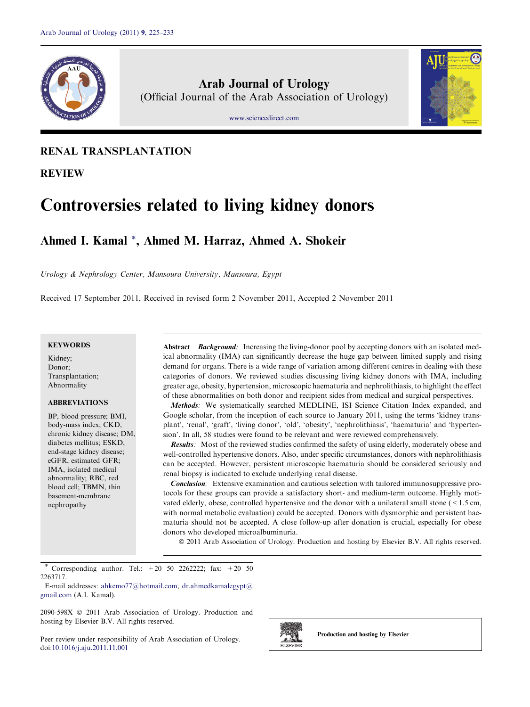

Arab Journal of Urology (Official Journal of the Arab Association of Urology)

[www.sciencedirect.com](http://www.sciencedirect.com/science/journal/2090598X)

# RENAL TRANSPLANTATION

# REVIEW

# Controversies related to living kidney donors

# Ahmed I. Kamal \*, Ahmed M. Harraz, Ahmed A. Shokeir

Urology & Nephrology Center, Mansoura University, Mansoura, Egypt

Received 17 September 2011, Received in revised form 2 November 2011, Accepted 2 November 2011

# **KEYWORDS**

Kidney; Donor; Transplantation; Abnormality

### ABBREVIATIONS

BP, blood pressure; BMI, body-mass index; CKD, chronic kidney disease; DM, diabetes mellitus; ESKD, end-stage kidney disease; eGFR, estimated GFR; IMA, isolated medical abnormality; RBC, red blood cell; TBMN, thin basement-membrane nephropathy

Abstract Background: Increasing the living-donor pool by accepting donors with an isolated medical abnormality (IMA) can significantly decrease the huge gap between limited supply and rising demand for organs. There is a wide range of variation among different centres in dealing with these categories of donors. We reviewed studies discussing living kidney donors with IMA, including greater age, obesity, hypertension, microscopic haematuria and nephrolithiasis, to highlight the effect of these abnormalities on both donor and recipient sides from medical and surgical perspectives.

 $\bullet$ 

Methods: We systematically searched MEDLINE, ISI Science Citation Index expanded, and Google scholar, from the inception of each source to January 2011, using the terms 'kidney transplant', 'renal', 'graft', 'living donor', 'old', 'obesity', 'nephrolithiasis', 'haematuria' and 'hypertension'. In all, 58 studies were found to be relevant and were reviewed comprehensively.

Results: Most of the reviewed studies confirmed the safety of using elderly, moderately obese and well-controlled hypertensive donors. Also, under specific circumstances, donors with nephrolithiasis can be accepted. However, persistent microscopic haematuria should be considered seriously and renal biopsy is indicated to exclude underlying renal disease.

**Conclusion:** Extensive examination and cautious selection with tailored immunosuppressive protocols for these groups can provide a satisfactory short- and medium-term outcome. Highly motivated elderly, obese, controlled hypertensive and the donor with a unilateral small stone (<1.5 cm, with normal metabolic evaluation) could be accepted. Donors with dysmorphic and persistent haematuria should not be accepted. A close follow-up after donation is crucial, especially for obese donors who developed microalbuminuria.

ª 2011 Arab Association of Urology. Production and hosting by Elsevier B.V. All rights reserved.

Corresponding author. Tel.:  $+20$  50 2262222; fax:  $+20$  50 2263717.

E-mail addresses: [ahkemo77@hotmail.com](mailto:ahkemo77@hotmail.com), [dr.ahmedkamalegypt@](mailto:dr.ahmedkamalegypt@ gmail.com) [gmail.com](mailto:dr.ahmedkamalegypt@ gmail.com) (A.I. Kamal).

2090-598X  $\circ$  2011 Arab Association of Urology. Production and hosting by Elsevier B.V. All rights reserved.

Peer review under responsibility of Arab Association of Urology. doi[:10.1016/j.aju.2011.11.001](http://dx.doi.org/10.1016/j.aju.2011.11.001)



Production and hosting by Elsevier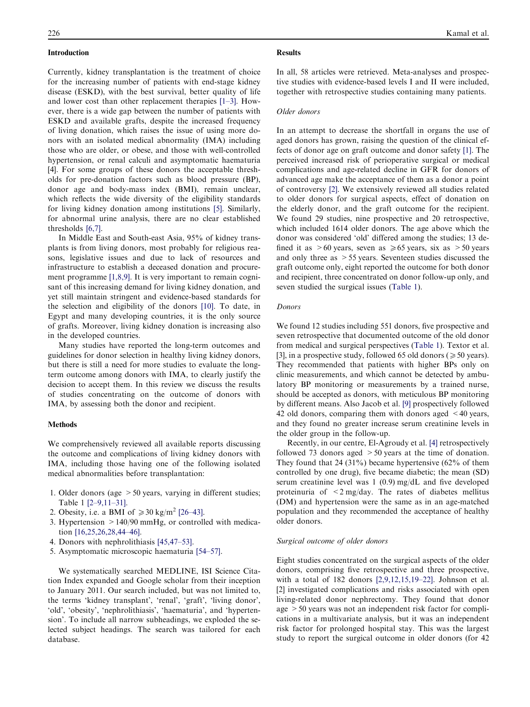# Introduction

Currently, kidney transplantation is the treatment of choice for the increasing number of patients with end-stage kidney disease (ESKD), with the best survival, better quality of life and lower cost than other replacement therapies [\[1–3\]](#page-6-0). However, there is a wide gap between the number of patients with ESKD and available grafts, despite the increased frequency of living donation, which raises the issue of using more donors with an isolated medical abnormality (IMA) including those who are older, or obese, and those with well-controlled hypertension, or renal calculi and asymptomatic haematuria [\[4\]](#page-6-0). For some groups of these donors the acceptable thresholds for pre-donation factors such as blood pressure (BP), donor age and body-mass index (BMI), remain unclear, which reflects the wide diversity of the eligibility standards for living kidney donation among institutions [\[5\].](#page-6-0) Similarly, for abnormal urine analysis, there are no clear established thresholds [\[6,7\]](#page-6-0).

In Middle East and South-east Asia, 95% of kidney transplants is from living donors, most probably for religious reasons, legislative issues and due to lack of resources and infrastructure to establish a deceased donation and procurement programme [\[1,8,9\]](#page-6-0). It is very important to remain cognisant of this increasing demand for living kidney donation, and yet still maintain stringent and evidence-based standards for the selection and eligibility of the donors [\[10\].](#page-7-0) To date, in Egypt and many developing countries, it is the only source of grafts. Moreover, living kidney donation is increasing also in the developed countries.

Many studies have reported the long-term outcomes and guidelines for donor selection in healthy living kidney donors, but there is still a need for more studies to evaluate the longterm outcome among donors with IMA, to clearly justify the decision to accept them. In this review we discuss the results of studies concentrating on the outcome of donors with IMA, by assessing both the donor and recipient.

# **Methods**

We comprehensively reviewed all available reports discussing the outcome and complications of living kidney donors with IMA, including those having one of the following isolated medical abnormalities before transplantation:

- 1. Older donors (age >50 years, varying in different studies; [Table 1](#page-2-0) [\[2–9,11–31\]](#page-6-0).
- 2. Obesity, i.e. a BMI of  $\geq 30$  kg/m<sup>2</sup> [\[26–43\]](#page-7-0).
- 3. Hypertension  $>140/90$  mmHg, or controlled with medication [\[16,25,26,28,44–46\]](#page-7-0).
- 4. Donors with nephrolithiasis [\[45,47–53\].](#page-7-0)
- 5. Asymptomatic microscopic haematuria [\[54–57\].](#page-8-0)

We systematically searched MEDLINE, ISI Science Citation Index expanded and Google scholar from their inception to January 2011. Our search included, but was not limited to, the terms 'kidney transplant', 'renal', 'graft', 'living donor', 'old', 'obesity', 'nephrolithiasis', 'haematuria', and 'hypertension'. To include all narrow subheadings, we exploded the selected subject headings. The search was tailored for each database.

#### Results

In all, 58 articles were retrieved. Meta-analyses and prospective studies with evidence-based levels I and II were included, together with retrospective studies containing many patients.

## Older donors

In an attempt to decrease the shortfall in organs the use of aged donors has grown, raising the question of the clinical effects of donor age on graft outcome and donor safety [\[1\].](#page-6-0) The perceived increased risk of perioperative surgical or medical complications and age-related decline in GFR for donors of advanced age make the acceptance of them as a donor a point of controversy [\[2\]](#page-6-0). We extensively reviewed all studies related to older donors for surgical aspects, effect of donation on the elderly donor, and the graft outcome for the recipient. We found 29 studies, nine prospective and 20 retrospective, which included 1614 older donors. The age above which the donor was considered 'old' differed among the studies; 13 defined it as  $>60$  years, seven as  $\geq 65$  years, six as  $>50$  years and only three as >55 years. Seventeen studies discussed the graft outcome only, eight reported the outcome for both donor and recipient, three concentrated on donor follow-up only, and seven studied the surgical issues [\(Table 1](#page-2-0)).

#### Donors

We found 12 studies including 551 donors, five prospective and seven retrospective that documented outcome of the old donor from medical and surgical perspectives [\(Table 1](#page-2-0)). Textor et al. [\[3\]](#page-6-0), in a prospective study, followed 65 old donors ( $\geq 50$  years). They recommended that patients with higher BPs only on clinic measurements, and which cannot be detected by ambulatory BP monitoring or measurements by a trained nurse, should be accepted as donors, with meticulous BP monitoring by different means. Also Jacob et al. [\[9\]](#page-7-0) prospectively followed 42 old donors, comparing them with donors aged <40 years, and they found no greater increase serum creatinine levels in the older group in the follow-up.

Recently, in our centre, El-Agroudy et al. [\[4\]](#page-6-0) retrospectively followed 73 donors aged >50 years at the time of donation. They found that 24 (31%) became hypertensive (62% of them controlled by one drug), five became diabetic; the mean (SD) serum creatinine level was 1 (0.9) mg/dL and five developed proteinuria of  $\leq 2 \text{ mg/day}$ . The rates of diabetes mellitus (DM) and hypertension were the same as in an age-matched population and they recommended the acceptance of healthy older donors.

#### Surgical outcome of older donors

Eight studies concentrated on the surgical aspects of the older donors, comprising five retrospective and three prospective, with a total of 182 donors [\[2,9,12,15,19–22\].](#page-6-0) Johnson et al. [\[2\]](#page-6-0) investigated complications and risks associated with open living-related donor nephrectomy. They found that donor age >50 years was not an independent risk factor for complications in a multivariate analysis, but it was an independent risk factor for prolonged hospital stay. This was the largest study to report the surgical outcome in older donors (for 42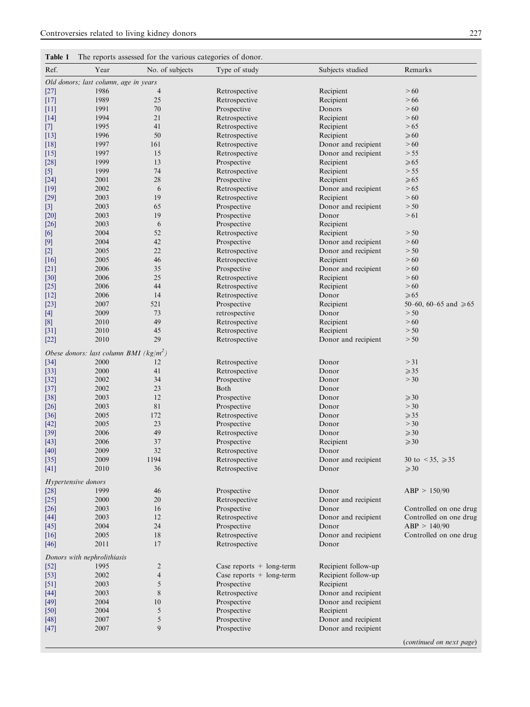<span id="page-2-0"></span>

| Table 1 The reports assessed for the various categories of donor. |  |  |  |
|-------------------------------------------------------------------|--|--|--|
|                                                                   |  |  |  |

| Ref.                       | Year                                     | No. of subjects | Type of study              | Subjects studied    | Remarks                   |
|----------------------------|------------------------------------------|-----------------|----------------------------|---------------------|---------------------------|
|                            | Old donors; last column, age in years    |                 |                            |                     |                           |
| $[27]$                     | 1986                                     | $\overline{4}$  | Retrospective              | Recipient           | >60                       |
| $[17]$                     | 1989                                     | 25              | Retrospective              | Recipient           | > 66                      |
| $[11]$                     | 1991                                     | 70              | Prospective                | Donors              | >60                       |
| $[14]$                     | 1994                                     | 21              | Retrospective              | Recipient           | >60                       |
| $[7]$                      | 1995                                     | 41              | Retrospective              | Recipient           | > 65                      |
| $[13]$                     | 1996                                     | 50              | Retrospective              | Recipient           | $\geqslant 60$            |
| [18]                       | 1997                                     | 161             | Retrospective              | Donor and recipient | >60                       |
| $[15]$                     | 1997                                     | 15              | Retrospective              | Donor and recipient | $> 55$                    |
| $[28]$                     | 1999                                     | 13              | Prospective                | Recipient           | $\ge 65$                  |
| $[5]$                      | 1999                                     | 74              | Retrospective              | Recipient           | > 55                      |
| $[24]$                     | 2001                                     | $28\,$          | Prospective                | Recipient           | $\ge 65$                  |
| $[19]$                     | 2002                                     | 6               | Retrospective              | Donor and recipient | > 65                      |
| $[29]$                     | 2003                                     | 19              | Retrospective              | Recipient           | >60                       |
| $[3]$                      | 2003                                     | 65              | Prospective                | Donor and recipient | > 50                      |
| $[20]$                     | 2003                                     | 19              | Prospective                | Donor               | >61                       |
| $[26]$                     | 2003                                     | 6               | Prospective                | Recipient           |                           |
| [6]                        | 2004                                     | 52              | Retrospective              | Recipient           | > 50                      |
| $[9]$                      | 2004                                     | 42              | Prospective                | Donor and recipient | >60                       |
| $[2]$                      | 2005                                     | 22              | Retrospective              | Donor and recipient | > 50                      |
| [16]                       | 2005                                     | 46              | Retrospective              | Recipient           | >60                       |
| $[21]$                     | 2006                                     | 35              | Prospective                | Donor and recipient | >60                       |
| $[30]$                     | 2006                                     | 25              | Retrospective              | Recipient           | >60                       |
| $[25]$                     | 2006                                     | 44              | Retrospective              | Recipient           | >60                       |
| $[12]$                     | 2006                                     | 14              | Retrospective              | Donor               | $\ge 65$                  |
| $[23]$                     | 2007                                     | 521             | Prospective                | Recipient           | 50–60, 60–65 and $\ge 65$ |
| $[4]$                      | 2009                                     | 73<br>49        | retrospective              | Donor               | > 50                      |
| $[8]$                      | 2010                                     |                 | Retrospective              | Recipient           | >60                       |
| $[31]$                     | 2010                                     | 45              | Retrospective              | Recipient           | > 50                      |
| $[22]$                     | 2010                                     | 29              | Retrospective              | Donor and recipient | > 50                      |
|                            | Obese donors: last column BMI $(kg/m^2)$ |                 |                            |                     |                           |
| $[34]$                     | 2000                                     | 12              | Retrospective              | Donor               | >31                       |
| $[33]$                     | 2000                                     | 41              | Retrospective              | Donor               | $\geqslant$ 35            |
| $[32]$                     | 2002                                     | 34              | Prospective                | Donor               | >30                       |
| $[37]$                     | 2002                                     | 23              | Both                       | Donor               |                           |
| $[38]$                     | 2003                                     | 12              | Prospective                | Donor               | $\geqslant$ 30            |
| [26]                       | 2003                                     | 81              | Prospective                | Donor               | >30                       |
| $[36]$                     | 2005                                     | 172             | Retrospective              | Donor               | $\geqslant$ 35            |
| $[42]$                     | 2005                                     | 23              | Prospective                | Donor               | >30                       |
| $[39]$                     | 2006                                     | 49              | Retrospective              | Donor               | $\geqslant$ 30            |
| $[43]$                     | 2006<br>2009                             | 37<br>32        | Prospective                | Recipient           | $\geqslant$ 30            |
| [40]                       | 2009                                     | 1194            | Retrospective              | Donor               |                           |
| $[35]$                     |                                          | 36              | Retrospective              | Donor and recipient | 30 to $< 35, \geq 35$     |
| $[41]$                     | 2010                                     |                 | Retrospective              | Donor               | $\geqslant$ 30            |
| <i>Hypertensive donors</i> |                                          |                 |                            |                     |                           |
| $[28]$                     | 1999                                     | 46              | Prospective                | Donor               | ABP > 150/90              |
| $[25]$                     | 2000                                     | 20              | Retrospective              | Donor and recipient |                           |
| $[26]$                     | 2003                                     | 16              | Prospective                | Donor               | Controlled on one drug    |
| [44]                       | 2003                                     | 12              | Retrospective              | Donor and recipient | Controlled on one drug    |
| $[45]$                     | 2004                                     | 24              | Prospective                | Donor               | ABP > 140/90              |
| [16]                       | 2005                                     | 18              | Retrospective              | Donor and recipient | Controlled on one drug    |
| $[46]$                     | 2011                                     | 17              | Retrospective              | Donor               |                           |
|                            | Donors with nephrolithiasis              |                 |                            |                     |                           |
| $[52]$                     | 1995                                     | $\overline{c}$  | Case reports $+$ long-term | Recipient follow-up |                           |
| $[53]$                     | 2002                                     | $\overline{4}$  | Case reports $+$ long-term | Recipient follow-up |                           |
| $[51]$                     | 2003                                     | 5               | Prospective                | Recipient           |                           |
| $[44]$                     | 2003                                     | 8               | Retrospective              | Donor and recipient |                           |
| $[49]$                     | 2004                                     | 10              | Prospective                | Donor and recipient |                           |
| $[50]$                     | 2004                                     | 5               | Prospective                | Recipient           |                           |
| $[48]$                     | 2007                                     | 5               | Prospective                | Donor and recipient |                           |
| $[47]$                     | 2007                                     | 9               | Prospective                | Donor and recipient |                           |
|                            |                                          |                 |                            |                     |                           |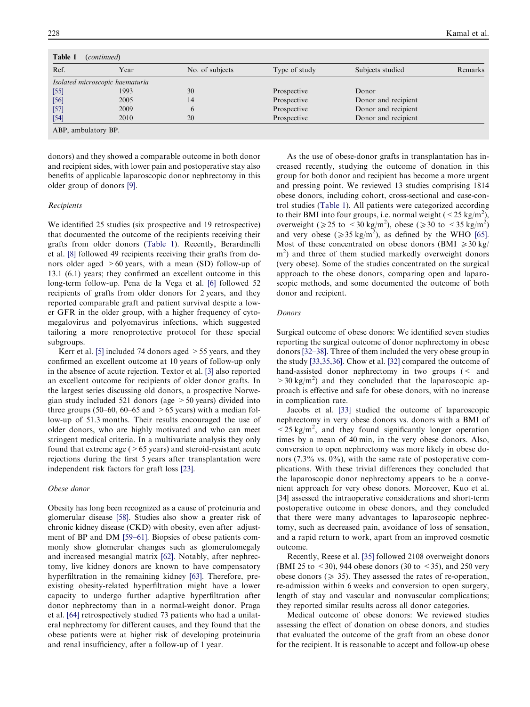| Ref.   | Year                            | No. of subjects | Type of study | Subjects studied    | Remarks |
|--------|---------------------------------|-----------------|---------------|---------------------|---------|
|        | Isolated microscopic haematuria |                 |               |                     |         |
| [55]   | 1993                            | 30              | Prospective   | Donor               |         |
| [56]   | 2005                            | 14              | Prospective   | Donor and recipient |         |
| $[57]$ | 2009                            | O               | Prospective   | Donor and recipient |         |
| [54]   | 2010                            | 20              | Prospective   | Donor and recipient |         |

donors) and they showed a comparable outcome in both donor and recipient sides, with lower pain and postoperative stay also benefits of applicable laparoscopic donor nephrectomy in this older group of donors [\[9\]](#page-7-0).

#### Recipients

We identified 25 studies (six prospective and 19 retrospective) that documented the outcome of the recipients receiving their grafts from older donors ([Table 1](#page-2-0)). Recently, Berardinelli et al. [\[8\]](#page-7-0) followed 49 recipients receiving their grafts from donors older aged  $>60$  years, with a mean (SD) follow-up of 13.1 (6.1) years; they confirmed an excellent outcome in this long-term follow-up. Pena de la Vega et al. [\[6\]](#page-6-0) followed 52 recipients of grafts from older donors for 2 years, and they reported comparable graft and patient survival despite a lower GFR in the older group, with a higher frequency of cytomegalovirus and polyomavirus infections, which suggested tailoring a more renoprotective protocol for these special subgroups.

Kerr et al. [\[5\]](#page-6-0) included 74 donors aged >55 years, and they confirmed an excellent outcome at 10 years of follow-up only in the absence of acute rejection. Textor et al. [\[3\]](#page-6-0) also reported an excellent outcome for recipients of older donor grafts. In the largest series discussing old donors, a prospective Norwegian study included 521 donors (age  $>50$  years) divided into three groups (50–60, 60–65 and  $> 65$  years) with a median follow-up of 51.3 months. Their results encouraged the use of older donors, who are highly motivated and who can meet stringent medical criteria. In a multivariate analysis they only found that extreme age  $($  > 65 years) and steroid-resistant acute rejections during the first 5 years after transplantation were independent risk factors for graft loss [\[23\]](#page-7-0).

#### Obese donor

Obesity has long been recognized as a cause of proteinuria and glomerular disease [\[58\].](#page-8-0) Studies also show a greater risk of chronic kidney disease (CKD) with obesity, even after adjustment of BP and DM [\[59–61\]](#page-8-0). Biopsies of obese patients commonly show glomerular changes such as glomerulomegaly and increased mesangial matrix [\[62\].](#page-8-0) Notably, after nephrectomy, live kidney donors are known to have compensatory hyperfiltration in the remaining kidney [\[63\].](#page-8-0) Therefore, preexisting obesity-related hyperfiltration might have a lower capacity to undergo further adaptive hyperfiltration after donor nephrectomy than in a normal-weight donor. Praga et al. [\[64\]](#page-8-0) retrospectively studied 73 patients who had a unilateral nephrectomy for different causes, and they found that the obese patients were at higher risk of developing proteinuria and renal insufficiency, after a follow-up of 1 year.

As the use of obese-donor grafts in transplantation has increased recently, studying the outcome of donation in this group for both donor and recipient has become a more urgent and pressing point. We reviewed 13 studies comprising 1814 obese donors, including cohort, cross-sectional and case-control studies ([Table 1\)](#page-2-0). All patients were categorized according to their BMI into four groups, i.e. normal weight ( $\leq 25 \text{ kg/m}^2$ ), overweight ( $\geq 25$  to <30 kg/m<sup>2</sup>), obese ( $\geq 30$  to <35 kg/m<sup>2</sup>) and very obese ( $\geq$ 35 kg/m<sup>2</sup>), as defined by the WHO [\[65\]](#page-8-0). Most of these concentrated on obese donors (BMI  $\geq 30$  kg/ m<sup>2</sup>) and three of them studied markedly overweight donors (very obese). Some of the studies concentrated on the surgical approach to the obese donors, comparing open and laparoscopic methods, and some documented the outcome of both donor and recipient.

# Donors

Surgical outcome of obese donors: We identified seven studies reporting the surgical outcome of donor nephrectomy in obese donors [\[32–38\].](#page-7-0) Three of them included the very obese group in the study [\[33,35,36\].](#page-7-0) Chow et al. [\[32\]](#page-7-0) compared the outcome of hand-assisted donor nephrectomy in two groups (< and  $>$  30 kg/m<sup>2</sup>) and they concluded that the laparoscopic approach is effective and safe for obese donors, with no increase in complication rate.

Jacobs et al. [\[33\]](#page-7-0) studied the outcome of laparoscopic nephrectomy in very obese donors vs. donors with a BMI of  $\langle 25 \text{ kg/m}^2 \rangle$  and they found significantly longer operation times by a mean of 40 min, in the very obese donors. Also, conversion to open nephrectomy was more likely in obese donors (7.3% vs. 0%), with the same rate of postoperative complications. With these trivial differences they concluded that the laparoscopic donor nephrectomy appears to be a convenient approach for very obese donors. Moreover, Kuo et al. [\[34\]](#page-7-0) assessed the intraoperative considerations and short-term postoperative outcome in obese donors, and they concluded that there were many advantages to laparoscopic nephrectomy, such as decreased pain, avoidance of loss of sensation, and a rapid return to work, apart from an improved cosmetic outcome.

Recently, Reese et al. [\[35\]](#page-7-0) followed 2108 overweight donors (BMI 25 to  $\le$  30), 944 obese donors (30 to  $\le$  35), and 250 very obese donors ( $\geq$  35). They assessed the rates of re-operation, re-admission within 6 weeks and conversion to open surgery, length of stay and vascular and nonvascular complications; they reported similar results across all donor categories.

Medical outcome of obese donors: We reviewed studies assessing the effect of donation on obese donors, and studies that evaluated the outcome of the graft from an obese donor for the recipient. It is reasonable to accept and follow-up obese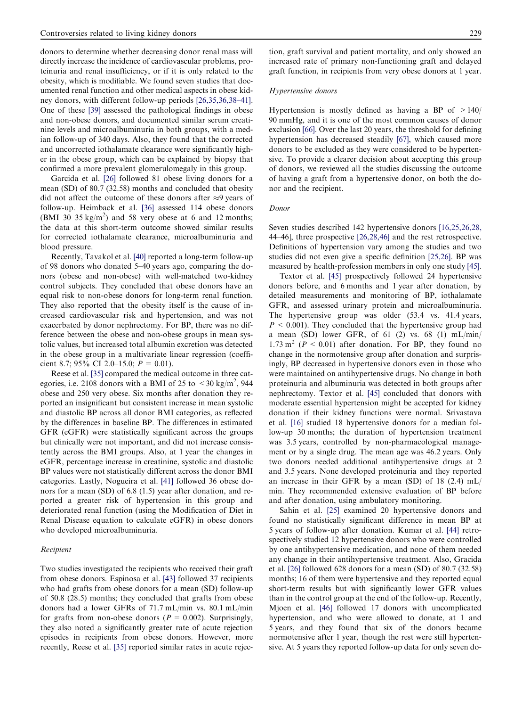donors to determine whether decreasing donor renal mass will directly increase the incidence of cardiovascular problems, proteinuria and renal insufficiency, or if it is only related to the obesity, which is modifiable. We found seven studies that documented renal function and other medical aspects in obese kidney donors, with different follow-up periods [\[26,35,36,38–41\]](#page-7-0). One of these [\[39\]](#page-7-0) assessed the pathological findings in obese and non-obese donors, and documented similar serum creatinine levels and microalbuminuria in both groups, with a median follow-up of 340 days. Also, they found that the corrected and uncorrected iothalamate clearance were significantly higher in the obese group, which can be explained by biopsy that confirmed a more prevalent glomerulomegaly in this group.

Garcida et al. [\[26\]](#page-7-0) followed 81 obese living donors for a mean (SD) of 80.7 (32.58) months and concluded that obesity did not affect the outcome of these donors after  $\approx$ 9 years of follow-up. Heimback et al. [\[36\]](#page-7-0) assessed 114 obese donors (BMI 30-35 kg/m<sup>2</sup>) and 58 very obese at 6 and 12 months; the data at this short-term outcome showed similar results for corrected iothalamate clearance, microalbuminuria and blood pressure.

Recently, Tavakol et al. [\[40\]](#page-7-0) reported a long-term follow-up of 98 donors who donated 5–40 years ago, comparing the donors (obese and non-obese) with well-matched two-kidney control subjects. They concluded that obese donors have an equal risk to non-obese donors for long-term renal function. They also reported that the obesity itself is the cause of increased cardiovascular risk and hypertension, and was not exacerbated by donor nephrectomy. For BP, there was no difference between the obese and non-obese groups in mean systolic values, but increased total albumin excretion was detected in the obese group in a multivariate linear regression (coefficient 8.7; 95% CI 2.0–15.0;  $P = 0.01$ ).

Reese et al. [\[35\]](#page-7-0) compared the medical outcome in three categories, i.e. 2108 donors with a BMI of 25 to  $\leq 30$  kg/m<sup>2</sup>, 944 obese and 250 very obese. Six months after donation they reported an insignificant but consistent increase in mean systolic and diastolic BP across all donor BMI categories, as reflected by the differences in baseline BP. The differences in estimated GFR (eGFR) were statistically significant across the groups but clinically were not important, and did not increase consistently across the BMI groups. Also, at 1 year the changes in eGFR, percentage increase in creatinine, systolic and diastolic BP values were not statistically different across the donor BMI categories. Lastly, Nogueira et al. [\[41\]](#page-7-0) followed 36 obese donors for a mean (SD) of 6.8 (1.5) year after donation, and reported a greater risk of hypertension in this group and deteriorated renal function (using the Modification of Diet in Renal Disease equation to calculate eGFR) in obese donors who developed microalbuminuria.

# Recipient

Two studies investigated the recipients who received their graft from obese donors. Espinosa et al. [\[43\]](#page-7-0) followed 37 recipients who had grafts from obese donors for a mean (SD) follow-up of 50.8 (28.5) months; they concluded that grafts from obese donors had a lower GFRs of 71.7 mL/min vs. 80.1 mL/min for grafts from non-obese donors ( $P = 0.002$ ). Surprisingly, they also noted a significantly greater rate of acute rejection episodes in recipients from obese donors. However, more recently, Reese et al. [\[35\]](#page-7-0) reported similar rates in acute rejection, graft survival and patient mortality, and only showed an increased rate of primary non-functioning graft and delayed graft function, in recipients from very obese donors at 1 year.

## Hypertensive donors

Hypertension is mostly defined as having a BP of  $>140/$ 90 mmHg, and it is one of the most common causes of donor exclusion [\[66\].](#page-8-0) Over the last 20 years, the threshold for defining hypertension has decreased steadily [\[67\],](#page-8-0) which caused more donors to be excluded as they were considered to be hypertensive. To provide a clearer decision about accepting this group of donors, we reviewed all the studies discussing the outcome of having a graft from a hypertensive donor, on both the donor and the recipient.

## Donor

Seven studies described 142 hypertensive donors [\[16,25,26,28,](#page-7-0) [44–46\]](#page-7-0), three prospective [\[26,28,46\]](#page-7-0) and the rest retrospective. Definitions of hypertension vary among the studies and two studies did not even give a specific definition [\[25,26\].](#page-7-0) BP was measured by health-profession members in only one study [\[45\]](#page-7-0).

Textor et al. [\[45\]](#page-7-0) prospectively followed 24 hypertensive donors before, and 6 months and 1 year after donation, by detailed measurements and monitoring of BP, iothalamate GFR, and assessed urinary protein and microalbuminuria. The hypertensive group was older (53.4 vs. 41.4 years,  $P \leq 0.001$ ). They concluded that the hypertensive group had a mean (SD) lower GFR, of 61 (2) vs. 68 (1) mL/min/ 1.73 m<sup>2</sup> ( $P < 0.01$ ) after donation. For BP, they found no change in the normotensive group after donation and surprisingly, BP decreased in hypertensive donors even in those who were maintained on antihypertensive drugs. No change in both proteinuria and albuminuria was detected in both groups after nephrectomy. Textor et al. [\[45\]](#page-7-0) concluded that donors with moderate essential hypertension might be accepted for kidney donation if their kidney functions were normal. Srivastava et al. [\[16\]](#page-7-0) studied 18 hypertensive donors for a median follow-up 30 months; the duration of hypertension treatment was 3.5 years, controlled by non-pharmacological management or by a single drug. The mean age was 46.2 years. Only two donors needed additional antihypertensive drugs at 2 and 3.5 years. None developed proteinuria and they reported an increase in their GFR by a mean (SD) of 18 (2.4) mL/ min. They recommended extensive evaluation of BP before and after donation, using ambulatory monitoring.

Sahin et al. [\[25\]](#page-7-0) examined 20 hypertensive donors and found no statistically significant difference in mean BP at 5 years of follow-up after donation. Kumar et al. [\[44\]](#page-7-0) retrospectively studied 12 hypertensive donors who were controlled by one antihypertensive medication, and none of them needed any change in their antihypertensive treatment. Also, Gracida et al. [\[26\]](#page-7-0) followed 628 donors for a mean (SD) of 80.7 (32.58) months; 16 of them were hypertensive and they reported equal short-term results but with significantly lower GFR values than in the control group at the end of the follow-up. Recently, Mjoen et al. [\[46\]](#page-7-0) followed 17 donors with uncomplicated hypertension, and who were allowed to donate, at 1 and 5 years, and they found that six of the donors became normotensive after 1 year, though the rest were still hypertensive. At 5 years they reported follow-up data for only seven do-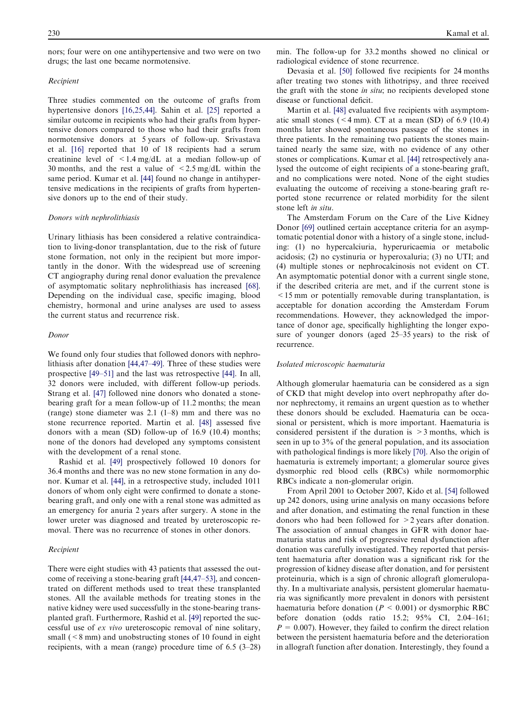#### Recipient

Three studies commented on the outcome of grafts from hypertensive donors [\[16,25,44\]](#page-7-0). Sahin et al. [\[25\]](#page-7-0) reported a similar outcome in recipients who had their grafts from hypertensive donors compared to those who had their grafts from normotensive donors at 5 years of follow-up. Srivastava et al. [\[16\]](#page-7-0) reported that 10 of 18 recipients had a serum creatinine level of  $\leq 1.4$  mg/dL at a median follow-up of 30 months, and the rest a value of  $\leq$  2.5 mg/dL within the same period. Kumar et al. [\[44\]](#page-7-0) found no change in antihypertensive medications in the recipients of grafts from hypertensive donors up to the end of their study.

#### Donors with nephrolithiasis

Urinary lithiasis has been considered a relative contraindication to living-donor transplantation, due to the risk of future stone formation, not only in the recipient but more importantly in the donor. With the widespread use of screening CT angiography during renal donor evaluation the prevalence of asymptomatic solitary nephrolithiasis has increased [\[68\]](#page-8-0). Depending on the individual case, specific imaging, blood chemistry, hormonal and urine analyses are used to assess the current status and recurrence risk.

#### Donor

We found only four studies that followed donors with nephrolithiasis after donation [\[44,47–49\].](#page-7-0) Three of these studies were prospective [\[49–51\]](#page-7-0) and the last was retrospective [\[44\].](#page-7-0) In all, 32 donors were included, with different follow-up periods. Strang et al. [\[47\]](#page-7-0) followed nine donors who donated a stonebearing graft for a mean follow-up of 11.2 months; the mean (range) stone diameter was 2.1 (1–8) mm and there was no stone recurrence reported. Martin et al. [\[48\]](#page-7-0) assessed five donors with a mean (SD) follow-up of 16.9 (10.4) months; none of the donors had developed any symptoms consistent with the development of a renal stone.

Rashid et al. [\[49\]](#page-7-0) prospectively followed 10 donors for 36.4 months and there was no new stone formation in any donor. Kumar et al. [\[44\],](#page-7-0) in a retrospective study, included 1011 donors of whom only eight were confirmed to donate a stonebearing graft, and only one with a renal stone was admitted as an emergency for anuria 2 years after surgery. A stone in the lower ureter was diagnosed and treated by ureteroscopic removal. There was no recurrence of stones in other donors.

# Recipient

There were eight studies with 43 patients that assessed the outcome of receiving a stone-bearing graft [\[44,47–53\]](#page-7-0), and concentrated on different methods used to treat these transplanted stones. All the available methods for treating stones in the native kidney were used successfully in the stone-bearing transplanted graft. Furthermore, Rashid et al. [\[49\]](#page-7-0) reported the successful use of ex vivo ureteroscopic removal of nine solitary, small (<8 mm) and unobstructing stones of 10 found in eight recipients, with a mean (range) procedure time of 6.5 (3–28)

min. The follow-up for 33.2 months showed no clinical or radiological evidence of stone recurrence.

Devasia et al. [\[50\]](#page-7-0) followed five recipients for 24 months after treating two stones with lithotripsy, and three received the graft with the stone in situ; no recipients developed stone disease or functional deficit.

Martin et al. [\[48\]](#page-7-0) evaluated five recipients with asymptomatic small stones  $( $4 \text{ mm}$ ). CT at a mean (SD) of 6.9 (10.4)$ months later showed spontaneous passage of the stones in three patients. In the remaining two patients the stones maintained nearly the same size, with no evidence of any other stones or complications. Kumar et al. [\[44\]](#page-7-0) retrospectively analysed the outcome of eight recipients of a stone-bearing graft, and no complications were noted. None of the eight studies evaluating the outcome of receiving a stone-bearing graft reported stone recurrence or related morbidity for the silent stone left in situ.

The Amsterdam Forum on the Care of the Live Kidney Donor [\[69\]](#page-8-0) outlined certain acceptance criteria for an asymptomatic potential donor with a history of a single stone, including: (1) no hypercalciuria, hyperuricaemia or metabolic acidosis; (2) no cystinuria or hyperoxaluria; (3) no UTI; and (4) multiple stones or nephrocalcinosis not evident on CT. An asymptomatic potential donor with a current single stone, if the described criteria are met, and if the current stone is <15 mm or potentially removable during transplantation, is acceptable for donation according the Amsterdam Forum recommendations. However, they acknowledged the importance of donor age, specifically highlighting the longer exposure of younger donors (aged 25–35 years) to the risk of recurrence.

#### Isolated microscopic haematuria

Although glomerular haematuria can be considered as a sign of CKD that might develop into overt nephropathy after donor nephrectomy, it remains an urgent question as to whether these donors should be excluded. Haematuria can be occasional or persistent, which is more important. Haematuria is considered persistent if the duration is  $>$  3 months, which is seen in up to 3% of the general population, and its association with pathological findings is more likely [\[70\]](#page-8-0). Also the origin of haematuria is extremely important; a glomerular source gives dysmorphic red blood cells (RBCs) while normomorphic RBCs indicate a non-glomerular origin.

From April 2001 to October 2007, Kido et al. [\[54\]](#page-8-0) followed up 242 donors, using urine analysis on many occasions before and after donation, and estimating the renal function in these donors who had been followed for >2 years after donation. The association of annual changes in GFR with donor haematuria status and risk of progressive renal dysfunction after donation was carefully investigated. They reported that persistent haematuria after donation was a significant risk for the progression of kidney disease after donation, and for persistent proteinuria, which is a sign of chronic allograft glomerulopathy. In a multivariate analysis, persistent glomerular haematuria was significantly more prevalent in donors with persistent haematuria before donation ( $P \le 0.001$ ) or dysmorphic RBC before donation (odds ratio 15.2; 95% CI, 2.04–161;  $P = 0.007$ . However, they failed to confirm the direct relation between the persistent haematuria before and the deterioration in allograft function after donation. Interestingly, they found a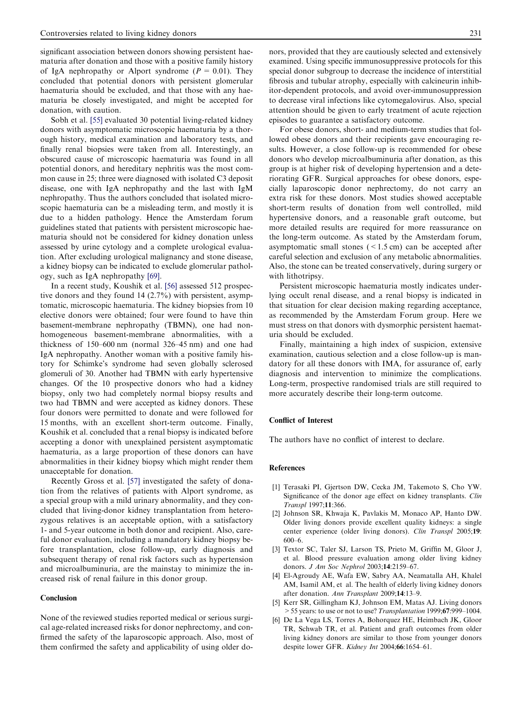<span id="page-6-0"></span>significant association between donors showing persistent haematuria after donation and those with a positive family history of IgA nephropathy or Alport syndrome ( $P = 0.01$ ). They concluded that potential donors with persistent glomerular haematuria should be excluded, and that those with any haematuria be closely investigated, and might be accepted for donation, with caution.

Sobh et al. [\[55\]](#page-8-0) evaluated 30 potential living-related kidney donors with asymptomatic microscopic haematuria by a thorough history, medical examination and laboratory tests, and finally renal biopsies were taken from all. Interestingly, an obscured cause of microscopic haematuria was found in all potential donors, and hereditary nephritis was the most common cause in 25; three were diagnosed with isolated C3 deposit disease, one with IgA nephropathy and the last with IgM nephropathy. Thus the authors concluded that isolated microscopic haematuria can be a misleading term, and mostly it is due to a hidden pathology. Hence the Amsterdam forum guidelines stated that patients with persistent microscopic haematuria should not be considered for kidney donation unless assessed by urine cytology and a complete urological evaluation. After excluding urological malignancy and stone disease, a kidney biopsy can be indicated to exclude glomerular pathology, such as IgA nephropathy [\[69\].](#page-8-0)

In a recent study, Koushik et al. [\[56\]](#page-8-0) assessed 512 prospective donors and they found 14 (2.7%) with persistent, asymptomatic, microscopic haematuria. The kidney biopsies from 10 elective donors were obtained; four were found to have thin basement-membrane nephropathy (TBMN), one had nonhomogeneous basement-membrane abnormalities, with a thickness of 150–600 nm (normal 326–45 nm) and one had IgA nephropathy. Another woman with a positive family history for Schimke's syndrome had seven globally sclerosed glomeruli of 30. Another had TBMN with early hypertensive changes. Of the 10 prospective donors who had a kidney biopsy, only two had completely normal biopsy results and two had TBMN and were accepted as kidney donors. These four donors were permitted to donate and were followed for 15 months, with an excellent short-term outcome. Finally, Koushik et al. concluded that a renal biopsy is indicated before accepting a donor with unexplained persistent asymptomatic haematuria, as a large proportion of these donors can have abnormalities in their kidney biopsy which might render them unacceptable for donation.

Recently Gross et al. [\[57\]](#page-8-0) investigated the safety of donation from the relatives of patients with Alport syndrome, as a special group with a mild urinary abnormality, and they concluded that living-donor kidney transplantation from heterozygous relatives is an acceptable option, with a satisfactory 1- and 5-year outcome in both donor and recipient. Also, careful donor evaluation, including a mandatory kidney biopsy before transplantation, close follow-up, early diagnosis and subsequent therapy of renal risk factors such as hypertension and microalbuminuria, are the mainstay to minimize the increased risk of renal failure in this donor group.

## **Conclusion**

None of the reviewed studies reported medical or serious surgical age-related increased risks for donor nephrectomy, and confirmed the safety of the laparoscopic approach. Also, most of them confirmed the safety and applicability of using older donors, provided that they are cautiously selected and extensively examined. Using specific immunosuppressive protocols for this special donor subgroup to decrease the incidence of interstitial fibrosis and tubular atrophy, especially with calcineurin inhibitor-dependent protocols, and avoid over-immunosuppression to decrease viral infections like cytomegalovirus. Also, special attention should be given to early treatment of acute rejection episodes to guarantee a satisfactory outcome.

For obese donors, short- and medium-term studies that followed obese donors and their recipients gave encouraging results. However, a close follow-up is recommended for obese donors who develop microalbuminuria after donation, as this group is at higher risk of developing hypertension and a deteriorating GFR. Surgical approaches for obese donors, especially laparoscopic donor nephrectomy, do not carry an extra risk for these donors. Most studies showed acceptable short-term results of donation from well controlled, mild hypertensive donors, and a reasonable graft outcome, but more detailed results are required for more reassurance on the long-term outcome. As stated by the Amsterdam forum, asymptomatic small stones  $(< 1.5 \text{ cm})$  can be accepted after careful selection and exclusion of any metabolic abnormalities. Also, the stone can be treated conservatively, during surgery or with lithotripsy.

Persistent microscopic haematuria mostly indicates underlying occult renal disease, and a renal biopsy is indicated in that situation for clear decision making regarding acceptance, as recommended by the Amsterdam Forum group. Here we must stress on that donors with dysmorphic persistent haematuria should be excluded.

Finally, maintaining a high index of suspicion, extensive examination, cautious selection and a close follow-up is mandatory for all these donors with IMA, for assurance of, early diagnosis and intervention to minimize the complications. Long-term, prospective randomised trials are still required to more accurately describe their long-term outcome.

# Conflict of Interest

The authors have no conflict of interest to declare.

#### References

- [1] Terasaki PI, Gjertson DW, Cecka JM, Takemoto S, Cho YW. Significance of the donor age effect on kidney transplants. Clin Transpl 1997;11:366.
- [2] Johnson SR, Khwaja K, Pavlakis M, Monaco AP, Hanto DW. Older living donors provide excellent quality kidneys: a single center experience (older living donors). Clin Transpl 2005;19: 600–6.
- [3] Textor SC, Taler SJ, Larson TS, Prieto M, Griffin M, Gloor J, et al. Blood pressure evaluation among older living kidney donors. J Am Soc Nephrol 2003;14:2159–67.
- [4] El-Agroudy AE, Wafa EW, Sabry AA, Neamatalla AH, Khalel AM, Isamil AM, et al. The health of elderly living kidney donors after donation. Ann Transplant 2009;14:13–9.
- [5] Kerr SR, Gillingham KJ, Johnson EM, Matas AJ. Living donors > 55 years: to use or not to use? Transplantation 1999;67:999-1004.
- [6] De La Vega LS, Torres A, Bohorquez HE, Heimbach JK, Gloor TR, Schwab TR, et al. Patient and graft outcomes from older living kidney donors are similar to those from younger donors despite lower GFR. Kidney Int 2004;66:1654–61.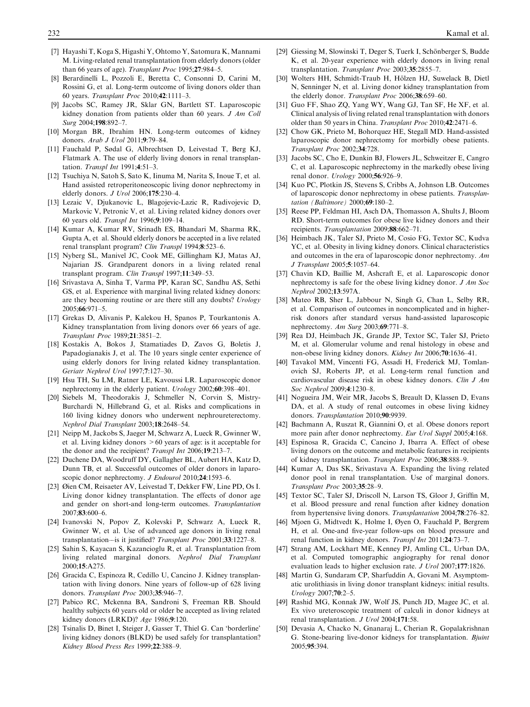- <span id="page-7-0"></span>[7] Hayashi T, Koga S, Higashi Y, Ohtomo Y, Satomura K, Mannami M. Living-related renal transplantation from elderly donors (older than 66 years of age). Transplant Proc 1995;27:984-5.
- [8] Berardinelli L, Pozzoli E, Beretta C, Consonni D, Carini M, Rossini G, et al. Long-term outcome of living donors older than 60 years. Transplant Proc 2010;42:1111–3.
- [9] Jacobs SC, Ramey JR, Sklar GN, Bartlett ST. Laparoscopic kidney donation from patients older than 60 years. J Am Coll Surg 2004;198:892–7.
- [10] Morgan BR, Ibrahim HN. Long-term outcomes of kidney donors. Arab J Urol 2011;9:79–84.
- [11] Fauchald P, Sødal G, Albrechtsen D, Leivestad T, Berg KJ, Flatmark A. The use of elderly living donors in renal transplantation. Transpl Int 1991;4:51–3.
- [12] Tsuchiya N, Satoh S, Sato K, Iinuma M, Narita S, Inoue T, et al. Hand assisted retroperitoneoscopic living donor nephrectomy in elderly donors. J Urol 2006;175:230–4.
- [13] Lezaic V, Djukanovic L, Blagojevic-Lazic R, Radivojevic D, Markovic V, Petronic V, et al. Living related kidney donors over 60 years old. Transpl Int 1996;9:109–14.
- [14] Kumar A, Kumar RV, Srinadh ES, Bhandari M, Sharma RK, Gupta A, et al. Should elderly donors be accepted in a live related renal transplant program? Clin Transpl 1994;8:523–6.
- [15] Nyberg SL, Manivel JC, Cook ME, Gillingham KJ, Matas AJ, Najarian JS. Grandparent donors in a living related renal transplant program. Clin Transpl 1997;11:349–53.
- [16] Srivastava A, Sinha T, Varma PP, Karan SC, Sandhu AS, Sethi GS, et al. Experience with marginal living related kidney donors: are they becoming routine or are there still any doubts? Urology 2005;66:971–5.
- [17] Grekas D, Alivanis P, Kalekou H, Spanos P, Tourkantonis A. Kidney transplantation from living donors over 66 years of age. Transplant Proc 1989;21:3851–2.
- [18] Kostakis A, Bokos J, Stamatiades D, Zavos G, Boletis J, Papadogianakis J, et al. The 10 years single center experience of using elderly donors for living related kidney transplantation. Geriatr Nephrol Urol 1997;7:127–30.
- [19] Hsu TH, Su LM, Ratner LE, Kavoussi LR. Laparoscopic donor nephrectomy in the elderly patient. Urology 2002;60:398–401.
- [20] Siebels M, Theodorakis J, Schmeller N, Corvin S, Mistry-Burchardi N, Hillebrand G, et al. Risks and complications in 160 living kidney donors who underwent nephroureterectomy. Nephrol Dial Transplant 2003;18:2648–54.
- [21] Neipp M, Jackobs S, Jaeger M, Schwarz A, Lueck R, Gwinner W, et al. Living kidney donors >60 years of age: is it acceptable for the donor and the recipient? Transpl Int 2006;19:213-7.
- [22] Duchene DA, Woodruff DY, Gallagher BL, Aubert HA, Katz D, Dunn TB, et al. Successful outcomes of older donors in laparoscopic donor nephrectomy. J Endourol 2010;24:1593-6.
- [23] Øien CM, Reisaeter AV, Leivestad T, Dekker FW, Line PD, Os I. Living donor kidney transplantation. The effects of donor age and gender on short-and long-term outcomes. Transplantation 2007;83:600–6.
- [24] Ivanovski N, Popov Z, Kolevski P, Schwarz A, Lueck R, Gwinner W, et al. Use of advanced age donors in living renal transplantation–is it justified? Transplant Proc 2001;33:1227-8.
- [25] Sahin S, Kayacan S, Kazancioglu R, et al. Transplantation from living related marginal donors. Nephrol Dial Transplant 2000;15:A275.
- [26] Gracida C, Espinoza R, Cedillo U, Cancino J. Kidney transplantation with living donors. Nine years of follow-up of 628 living donors. Transplant Proc 2003;35:946–7.
- [27] Pabico RC, Mckenna BA, Sandroni S, Freeman RB. Should healthy subjects 60 years old or older be accepted as living related kidney donors (LRKD)? Age 1986;9:120.
- [28] Tsinalis D, Binet I, Steiger J, Gasser T, Thiel G. Can 'borderline' living kidney donors (BLKD) be used safely for transplantation? Kidney Blood Press Res 1999;22:388–9.
- [29] Giessing M, Slowinski T, Deger S, Tuerk I, Schönberger S, Budde K, et al. 20-year experience with elderly donors in living renal transplantation. Transplant Proc 2003;35:2855-7.
- [30] Wolters HH, Schmidt-Traub H, Hölzen HJ, Suwelack B, Dietl N, Senninger N, et al. Living donor kidney transplantation from the elderly donor. Transplant Proc 2006;38:659-60.
- [31] Guo FF, Shao ZQ, Yang WY, Wang GJ, Tan SF, He XF, et al. Clinical analysis of living related renal transplantation with donors older than 50 years in China. Transplant Proc 2010;42:2471–6.
- [32] Chow GK, Prieto M, Bohorquez HE, Stegall MD. Hand-assisted laparoscopic donor nephrectomy for morbidly obese patients. Transplant Proc 2002;34:728.
- [33] Jacobs SC, Cho E, Dunkin BJ, Flowers JL, Schweitzer E, Cangro C, et al. Laparoscopic nephrectomy in the markedly obese living renal donor. Urology 2000;56:926–9.
- [34] Kuo PC, Plotkin JS, Stevens S, Cribbs A, Johnson LB. Outcomes of laparoscopic donor nephrectomy in obese patients. Transplantation (Baltimore) 2000;69:180–2.
- [35] Reese PP, Feldman HI, Asch DA, Thomasson A, Shults J, Bloom RD. Short-term outcomes for obese live kidney donors and their recipients. Transplantation 2009;88:662–71.
- [36] Heimbach JK, Taler SJ, Prieto M, Cosio FG, Textor SC, Kudva YC, et al. Obesity in living kidney donors. Clinical characteristics and outcomes in the era of laparoscopic donor nephrectomy. Am J Transplant 2005;5:1057–64.
- [37] Chavin KD, Baillie M, Ashcraft E, et al. Laparoscopic donor nephrectomy is safe for the obese living kidney donor. *J Am Soc* Nephrol 2002;13:597A.
- [38] Mateo RB, Sher L, Jabbour N, Singh G, Chan L, Selby RR, et al. Comparison of outcomes in noncomplicated and in higherrisk donors after standard versus hand-assisted laparoscopic nephrectomy. Am Surg 2003;69:771–8.
- [39] Rea DJ, Heimbach JK, Grande JP, Textor SC, Taler SJ, Prieto M, et al. Glomerular volume and renal histology in obese and non-obese living kidney donors. Kidney Int 2006;70:1636–41.
- [40] Tavakol MM, Vincenti FG, Assadi H, Frederick MJ, Tomlanovich SJ, Roberts JP, et al. Long-term renal function and cardiovascular disease risk in obese kidney donors. Clin J Am Soc Nephrol 2009;4:1230–8.
- [41] Nogueira JM, Weir MR, Jacobs S, Breault D, Klassen D, Evans DA, et al. A study of renal outcomes in obese living kidney donors. Transplantation 2010;90:9939.
- [42] Bachmann A, Ruszat R, Giannini O, et al. Obese donors report more pain after donor nephrectomy. Eur Urol Suppl 2005;4:168.
- [43] Espinosa R, Gracida C, Cancino J, Ibarra A. Effect of obese living donors on the outcome and metabolic features in recipients of kidney transplantation. Transplant Proc 2006;38:888–9.
- [44] Kumar A, Das SK, Srivastava A. Expanding the living related donor pool in renal transplantation. Use of marginal donors. Transplant Proc 2003;35:28–9.
- [45] Textor SC, Taler SJ, Driscoll N, Larson TS, Gloor J, Griffin M, et al. Blood pressure and renal function after kidney donation from hypertensive living donors. Transplantation 2004;78:276-82.
- [46] Mjoen G, Midtvedt K, Holme I, Øyen O, Fauchald P, Bergrem H, et al. One-and five-year follow-ups on blood pressure and renal function in kidney donors. Transpl Int 2011;24:73–7.
- [47] Strang AM, Lockhart ME, Kenney PJ, Amling CL, Urban DA, et al. Computed tomographic angiography for renal donor evaluation leads to higher exclusion rate. J Urol 2007;177:1826.
- [48] Martin G, Sundaram CP, Sharfuddin A, Govani M. Asymptomatic urolithiasis in living donor transplant kidneys: initial results. Urology 2007;70:2–5.
- [49] Rashid MG, Konnak JW, Wolf JS, Punch JD, Magee JC, et al. Ex vivo ureteroscopic treatment of calculi in donor kidneys at renal transplantation. J Urol 2004;171:58.
- [50] Devasia A, Chacko N, Gnanaraj L, Cherian R, Gopalakrishnan G. Stone-bearing live-donor kidneys for transplantation. Bjuint 2005;95:394.